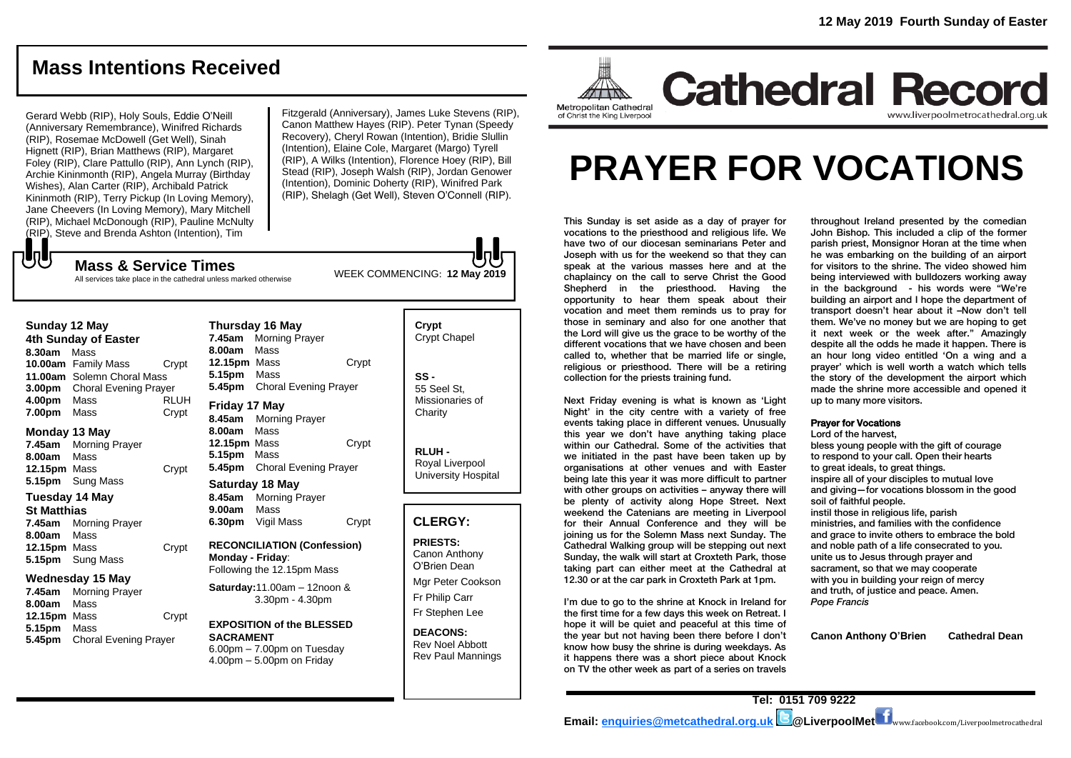## **Mass Intentions Received**

Gerard Webb (RIP), Holy Souls, Eddie O'Neill (Anniversary Remembrance), Winifred Richards (RIP), Rosemae McDowell (Get Well), Sinah Hignett (RIP), Brian Matthews (RIP), Margaret Foley (RIP), Clare Pattullo (RIP), Ann Lynch (RIP), Archie Kininmonth (RIP), Angela Murray (Birthday Wishes), Alan Carter (RIP), Archibald Patrick Kininmoth (RIP), Terry Pickup (In Loving Memory), Jane Cheevers (In Loving Memory), Mary Mitchell (RIP), Michael McDonough (RIP), Pauline McNulty (RIP), Steve and Brenda Ashton (Intention), Tim

Fitzgerald (Anniversary), James Luke Stevens (RIP), Canon Matthew Hayes (RIP). Peter Tynan (Speedy Recovery), Cheryl Rowan (Intention), Bridie Slullin (Intention), Elaine Cole, Margaret (Margo) Tyrell (RIP), A Wilks (Intention), Florence Hoey (RIP), Bill Stead (RIP), Joseph Walsh (RIP), Jordan Genower (Intention), Dominic Doherty (RIP), Winifred Park (RIP), Shelagh (Get Well), Steven O'Connell (RIP).

All services take place in the cathedral unless marked otherwise

**Mass & Service Times**

#### **Sunday 12 May**

もし

**4th Sunday of Easter 8.30am** Mass **10.00am** Family Mass Crypt **11.00am** Solemn Choral Mass **3.00pm** Choral Evening Prayer **4.00pm** Mass RLUH **7.00pm** Mass Crypt

#### **Monday 13 May**

**7.45am** Morning Prayer **8.00am** Mass **12.15pm** Mass Crypt **5.15pm** Sung Mass

### **Tuesday 14 May**

**St Matthias**

**7.45am** Morning Prayer **8.00am** Mass **12.15pm** Mass Crypt **5.15pm** Sung Mass

#### **Wednesday 15 May**

**7.45am** Morning Prayer **8.00am** Mass **12.15pm** Mass Crypt **5.15pm** Mass **5.45pm** Choral Evening Prayer

**Thursday 16 May 7.45am** Morning Prayer **8.00am** Mass **12.15pm** Mass Crypt **5.15pm** Mass **5.45pm** Choral Evening Prayer **Friday 17 May 8.45am** Morning Prayer **8.00am** Mass

**12.15pm** Mass Crypt **5.15pm** Mass **5.45pm** Choral Evening Prayer

**Saturday 18 May 8.45am** Morning Prayer **9.00am** Mass **6.30pm** Vigil Mass Crypt

**RECONCILIATION (Confession) Monday - Friday**: Following the 12.15pm Mass

**Saturday:**11.00am – 12noon & 3.30pm - 4.30pm

#### **EXPOSITION of the BLESSED SACRAMENT** 6.00pm – 7.00pm on Tuesday 4.00pm – 5.00pm on Friday

**Crypt**  Crypt Chapel **SS -** 55 Seel St, Missionaries of **Charity** 

> **RLUH -** Royal Liverpool University Hospital

#### **CLERGY:**

**PRIESTS:** Canon Anthony O'Brien *Dean*

Mgr Peter Cookson Fr Philip Carr Fr Stephen Lee

**DEACONS:** Rev Noel Abbott Rev Paul Mannings



# **PRAYER FOR VOCATIONS**

This Sunday is set aside as a day of prayer for vocations to the priesthood and religious life. We have two of our diocesan seminarians Peter and Joseph with us for the weekend so that they can speak at the various masses here and at the chaplaincy on the call to serve Christ the Good Shepherd in the priesthood. Having the opportunity to hear them speak about their vocation and meet them reminds us to pray for those in seminary and also for one another that the Lord will give us the grace to be worthy of the different vocations that we have chosen and been called to, whether that be married life or single, religious or priesthood. There will be a retiring collection for the priests training fund.

Next Friday evening is what is known as 'Light Night' in the city centre with a variety of free events taking place in different venues. Unusually this year we don't have anything taking place within our Cathedral. Some of the activities that we initiated in the past have been taken up by organisations at other venues and with Easter being late this year it was more difficult to partner with other groups on activities – anyway there will be plenty of activity along Hope Street. Next weekend the Catenians are meeting in Liverpool for their Annual Conference and they will be joining us for the Solemn Mass next Sunday. The Cathedral Walking group will be stepping out next Sunday, the walk will start at Croxteth Park, those taking part can either meet at the Cathedral at 12.30 or at the car park in Croxteth Park at 1pm.

I'm due to go to the shrine at Knock in Ireland for the first time for a few days this week on Retreat. I hope it will be quiet and peaceful at this time of the year but not having been there before I don't know how busy the shrine is during weekdays. As it happens there was a short piece about Knock on TV the other week as part of a series on travels

throughout Ireland presented by the comedian John Bishop. This included a clip of the former parish priest, Monsignor Horan at the time when he was embarking on the building of an airport for visitors to the shrine. The video showed him being interviewed with bulldozers working away in the background - his words were "We're building an airport and I hope the department of transport doesn't hear about it –Now don't tell them. We've no money but we are hoping to get it next week or the week after." Amazingly despite all the odds he made it happen. There is an hour long video entitled 'On a wing and a prayer' which is well worth a watch which tells the story of the development the airport which made the shrine more accessible and opened it up to many more visitors.

#### Prayer for Vocations

Lord of the harvest, bless young people with the gift of courage to respond to your call. Open their hearts to great ideals, to great things. inspire all of your disciples to mutual love and giving—for vocations blossom in the good soil of faithful people. instil those in religious life, parish ministries, and families with the confidence and grace to invite others to embrace the bold and noble path of a life consecrated to you. unite us to Jesus through prayer and sacrament, so that we may cooperate with you in building your reign of mercy and truth, of justice and peace. Amen. *Pope Francis*

**Canon Anthony O'Brien Cathedral Dean**